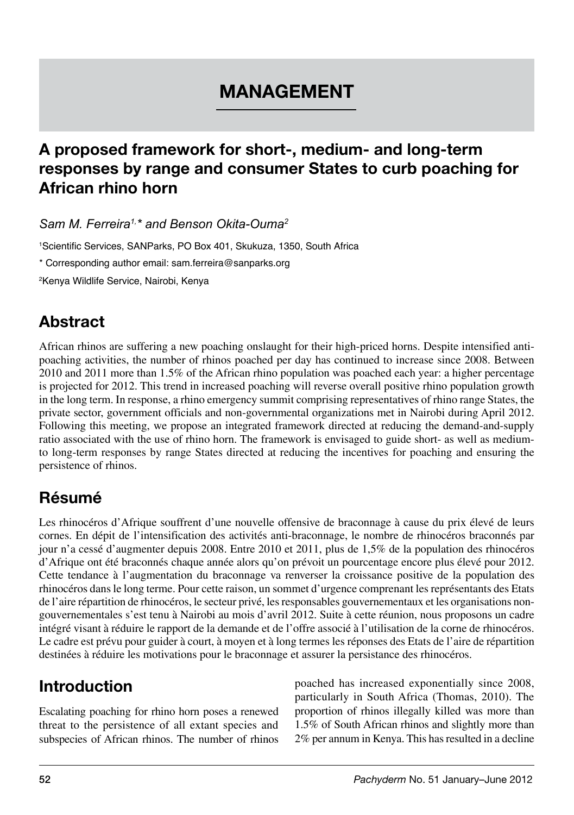# **MANAGEMENT**

#### **A proposed framework for short-, medium- and long-term responses by range and consumer States to curb poaching for African rhino horn**

*Sam M. Ferreira1,\* and Benson Okita-Ouma2*

1 Scientific Services, SANParks, PO Box 401, Skukuza, 1350, South Africa

\* Corresponding author email: sam.ferreira@sanparks.org

2 Kenya Wildlife Service, Nairobi, Kenya

## **Abstract**

African rhinos are suffering a new poaching onslaught for their high-priced horns. Despite intensified antipoaching activities, the number of rhinos poached per day has continued to increase since 2008. Between 2010 and 2011 more than 1.5% of the African rhino population was poached each year: a higher percentage is projected for 2012. This trend in increased poaching will reverse overall positive rhino population growth in the long term. In response, a rhino emergency summit comprising representatives of rhino range States, the private sector, government officials and non-governmental organizations met in Nairobi during April 2012. Following this meeting, we propose an integrated framework directed at reducing the demand-and-supply ratio associated with the use of rhino horn. The framework is envisaged to guide short- as well as mediumto long-term responses by range States directed at reducing the incentives for poaching and ensuring the persistence of rhinos.

## **Résumé**

Les rhinocéros d'Afrique souffrent d'une nouvelle offensive de braconnage à cause du prix élevé de leurs cornes. En dépit de l'intensification des activités anti-braconnage, le nombre de rhinocéros braconnés par jour n'a cessé d'augmenter depuis 2008. Entre 2010 et 2011, plus de 1,5% de la population des rhinocéros d'Afrique ont été braconnés chaque année alors qu'on prévoit un pourcentage encore plus élevé pour 2012. Cette tendance à l'augmentation du braconnage va renverser la croissance positive de la population des rhinocéros dans le long terme. Pour cette raison, un sommet d'urgence comprenant les représentants des Etats de l'aire répartition de rhinocéros, le secteur privé, les responsables gouvernementaux et les organisations nongouvernementales s'est tenu à Nairobi au mois d'avril 2012. Suite à cette réunion, nous proposons un cadre intégré visant à réduire le rapport de la demande et de l'offre associé à l'utilisation de la corne de rhinocéros. Le cadre est prévu pour guider à court, à moyen et à long termes les réponses des Etats de l'aire de répartition destinées à réduire les motivations pour le braconnage et assurer la persistance des rhinocéros.

## **Introduction**

Escalating poaching for rhino horn poses a renewed threat to the persistence of all extant species and subspecies of African rhinos. The number of rhinos poached has increased exponentially since 2008, particularly in South Africa (Thomas, 2010). The proportion of rhinos illegally killed was more than 1.5% of South African rhinos and slightly more than 2% per annum in Kenya. This has resulted in a decline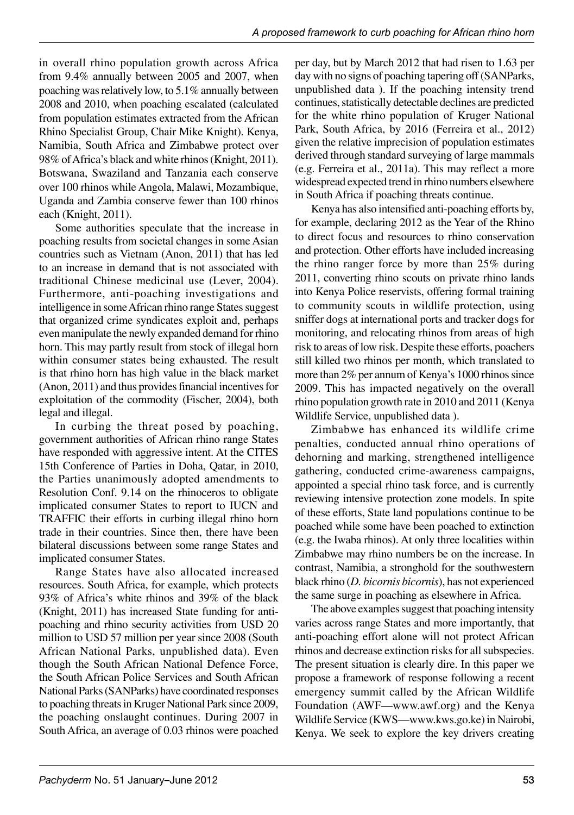in overall rhino population growth across Africa from 9.4% annually between 2005 and 2007, when poaching was relatively low, to 5.1% annually between 2008 and 2010, when poaching escalated (calculated from population estimates extracted from the African Rhino Specialist Group, Chair Mike Knight). Kenya, Namibia, South Africa and Zimbabwe protect over 98% of Africa's black and white rhinos (Knight, 2011). Botswana, Swaziland and Tanzania each conserve over 100 rhinos while Angola, Malawi, Mozambique, Uganda and Zambia conserve fewer than 100 rhinos each (Knight, 2011).

Some authorities speculate that the increase in poaching results from societal changes in some Asian countries such as Vietnam (Anon, 2011) that has led to an increase in demand that is not associated with traditional Chinese medicinal use (Lever, 2004). Furthermore, anti-poaching investigations and intelligence in some African rhino range States suggest that organized crime syndicates exploit and, perhaps even manipulate the newly expanded demand for rhino horn. This may partly result from stock of illegal horn within consumer states being exhausted. The result is that rhino horn has high value in the black market (Anon, 2011) and thus provides financial incentives for exploitation of the commodity (Fischer, 2004), both legal and illegal.

In curbing the threat posed by poaching, government authorities of African rhino range States have responded with aggressive intent. At the CITES 15th Conference of Parties in Doha, Qatar, in 2010, the Parties unanimously adopted amendments to Resolution Conf. 9.14 on the rhinoceros to obligate implicated consumer States to report to IUCN and TRAFFIC their efforts in curbing illegal rhino horn trade in their countries. Since then, there have been bilateral discussions between some range States and implicated consumer States.

Range States have also allocated increased resources. South Africa, for example, which protects 93% of Africa's white rhinos and 39% of the black (Knight, 2011) has increased State funding for antipoaching and rhino security activities from USD 20 million to USD 57 million per year since 2008 (South African National Parks, unpublished data). Even though the South African National Defence Force, the South African Police Services and South African National Parks (SANParks) have coordinated responses to poaching threats in Kruger National Park since 2009, the poaching onslaught continues. During 2007 in South Africa, an average of 0.03 rhinos were poached per day, but by March 2012 that had risen to 1.63 per day with no signs of poaching tapering off (SANParks, unpublished data ). If the poaching intensity trend continues, statistically detectable declines are predicted for the white rhino population of Kruger National Park, South Africa, by 2016 (Ferreira et al., 2012) given the relative imprecision of population estimates derived through standard surveying of large mammals (e.g. Ferreira et al., 2011a). This may reflect a more widespread expected trend in rhino numbers elsewhere in South Africa if poaching threats continue.

Kenya has also intensified anti-poaching efforts by, for example, declaring 2012 as the Year of the Rhino to direct focus and resources to rhino conservation and protection. Other efforts have included increasing the rhino ranger force by more than 25% during 2011, converting rhino scouts on private rhino lands into Kenya Police reservists, offering formal training to community scouts in wildlife protection, using sniffer dogs at international ports and tracker dogs for monitoring, and relocating rhinos from areas of high risk to areas of low risk. Despite these efforts, poachers still killed two rhinos per month, which translated to more than  $2\%$  per annum of Kenya's 1000 rhinos since 2009. This has impacted negatively on the overall rhino population growth rate in 2010 and 2011 (Kenya Wildlife Service, unpublished data ).

Zimbabwe has enhanced its wildlife crime penalties, conducted annual rhino operations of dehorning and marking, strengthened intelligence gathering, conducted crime-awareness campaigns, appointed a special rhino task force, and is currently reviewing intensive protection zone models. In spite of these efforts, State land populations continue to be poached while some have been poached to extinction (e.g. the Iwaba rhinos). At only three localities within Zimbabwe may rhino numbers be on the increase. In contrast, Namibia, a stronghold for the southwestern black rhino (*D. bicornis bicornis*), has not experienced the same surge in poaching as elsewhere in Africa.

The above examples suggest that poaching intensity varies across range States and more importantly, that anti-poaching effort alone will not protect African rhinos and decrease extinction risks for all subspecies. The present situation is clearly dire. In this paper we propose a framework of response following a recent emergency summit called by the African Wildlife Foundation (AWF—www.awf.org) and the Kenya Wildlife Service (KWS—www.kws.go.ke) in Nairobi, Kenya. We seek to explore the key drivers creating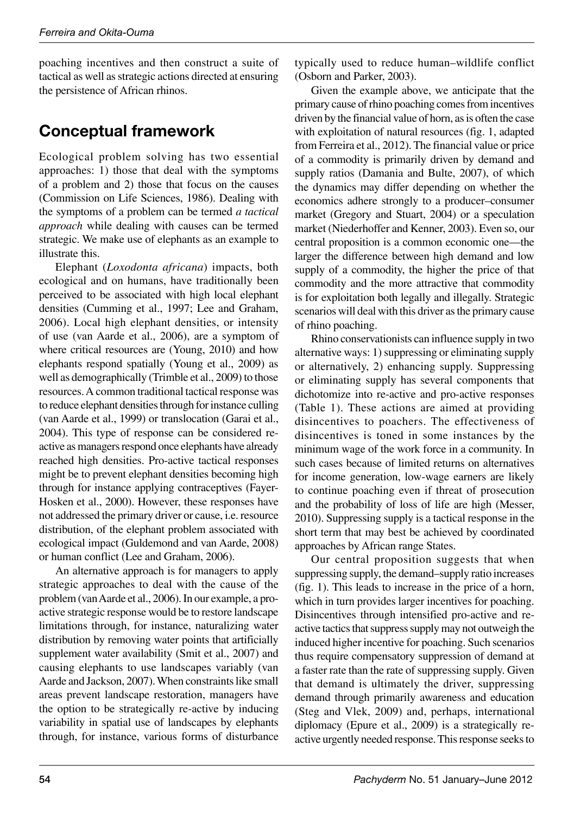poaching incentives and then construct a suite of tactical as well as strategic actions directed at ensuring the persistence of African rhinos.

#### **Conceptual framework**

Ecological problem solving has two essential approaches: 1) those that deal with the symptoms of a problem and 2) those that focus on the causes (Commission on Life Sciences, 1986). Dealing with the symptoms of a problem can be termed *a tactical approach* while dealing with causes can be termed strategic. We make use of elephants as an example to illustrate this.

Elephant (*Loxodonta africana*) impacts, both ecological and on humans, have traditionally been perceived to be associated with high local elephant densities (Cumming et al., 1997; Lee and Graham, 2006). Local high elephant densities, or intensity of use (van Aarde et al., 2006), are a symptom of where critical resources are (Young, 2010) and how elephants respond spatially (Young et al., 2009) as well as demographically (Trimble et al., 2009) to those resources. A common traditional tactical response was to reduce elephant densities through for instance culling (van Aarde et al., 1999) or translocation (Garai et al., 2004). This type of response can be considered reactive as managers respond once elephants have already reached high densities. Pro-active tactical responses might be to prevent elephant densities becoming high through for instance applying contraceptives (Fayer-Hosken et al., 2000). However, these responses have not addressed the primary driver or cause, i.e. resource distribution, of the elephant problem associated with ecological impact (Guldemond and van Aarde, 2008) or human conflict (Lee and Graham, 2006).

An alternative approach is for managers to apply strategic approaches to deal with the cause of the problem (van Aarde et al., 2006). In our example, a proactive strategic response would be to restore landscape limitations through, for instance, naturalizing water distribution by removing water points that artificially supplement water availability (Smit et al., 2007) and causing elephants to use landscapes variably (van Aarde and Jackson, 2007). When constraints like small areas prevent landscape restoration, managers have the option to be strategically re-active by inducing variability in spatial use of landscapes by elephants through, for instance, various forms of disturbance

typically used to reduce human-wildlife conflict (Osborn and Parker, 2003).

Given the example above, we anticipate that the primary cause of rhino poaching comes from incentives driven by the financial value of horn, as is often the case with exploitation of natural resources (fig. 1, adapted from Ferreira et al., 2012). The financial value or price of a commodity is primarily driven by demand and supply ratios (Damania and Bulte, 2007), of which the dynamics may differ depending on whether the economics adhere strongly to a producer-consumer market (Gregory and Stuart, 2004) or a speculation market (Niederhoffer and Kenner, 2003). Even so, our central proposition is a common economic one—the larger the difference between high demand and low supply of a commodity, the higher the price of that commodity and the more attractive that commodity is for exploitation both legally and illegally. Strategic scenarios will deal with this driver as the primary cause of rhino poaching.

Rhino conservationists can influence supply in two alternative ways: 1) suppressing or eliminating supply or alternatively, 2) enhancing supply. Suppressing or eliminating supply has several components that dichotomize into re-active and pro-active responses (Table 1). These actions are aimed at providing disincentives to poachers. The effectiveness of disincentives is toned in some instances by the minimum wage of the work force in a community. In such cases because of limited returns on alternatives for income generation, low-wage earners are likely to continue poaching even if threat of prosecution and the probability of loss of life are high (Messer, 2010). Suppressing supply is a tactical response in the short term that may best be achieved by coordinated approaches by African range States.

Our central proposition suggests that when suppressing supply, the demand-supply ratio increases (fig. 1). This leads to increase in the price of a horn, which in turn provides larger incentives for poaching. Disincentives through intensified pro-active and reactive tactics that suppress supply may not outweigh the induced higher incentive for poaching. Such scenarios thus require compensatory suppression of demand at a faster rate than the rate of suppressing supply. Given that demand is ultimately the driver, suppressing demand through primarily awareness and education (Steg and Vlek, 2009) and, perhaps, international diplomacy (Epure et al., 2009) is a strategically reactive urgently needed response. This response seeks to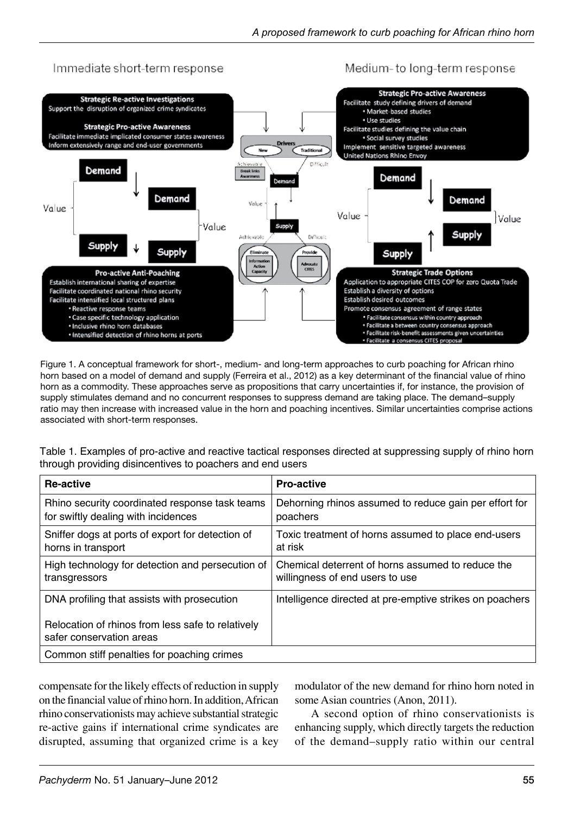

Figure 1. A conceptual framework for short-, medium- and long-term approaches to curb poaching for African rhino horn based on a model of demand and supply (Ferreira et al., 2012) as a key determinant of the financial value of rhino horn as a commodity. These approaches serve as propositions that carry uncertainties if, for instance, the provision of supply stimulates demand and no concurrent responses to suppress demand are taking place. The demand–supply ratio may then increase with increased value in the horn and poaching incentives. Similar uncertainties comprise actions associated with short-term responses.

Table 1. Examples of pro-active and reactive tactical responses directed at suppressing supply of rhino horn through providing disincentives to poachers and end users

| Re-active                                                                             | <b>Pro-active</b>                                                                    |
|---------------------------------------------------------------------------------------|--------------------------------------------------------------------------------------|
| Rhino security coordinated response task teams<br>for swiftly dealing with incidences | Dehorning rhinos assumed to reduce gain per effort for<br>poachers                   |
| Sniffer dogs at ports of export for detection of<br>horns in transport                | Toxic treatment of horns assumed to place end-users<br>at risk                       |
| High technology for detection and persecution of<br>transgressors                     | Chemical deterrent of horns assumed to reduce the<br>willingness of end users to use |
| DNA profiling that assists with prosecution                                           | Intelligence directed at pre-emptive strikes on poachers                             |
| Relocation of rhinos from less safe to relatively<br>safer conservation areas         |                                                                                      |
| Common stiff penalties for poaching crimes                                            |                                                                                      |

compensate for the likely effects of reduction in supply on the financial value of rhino horn. In addition, African rhino conservationists may achieve substantial strategic re-active gains if international crime syndicates are disrupted, assuming that organized crime is a key

modulator of the new demand for rhino horn noted in some Asian countries (Anon, 2011).

A second option of rhino conservationists is enhancing supply, which directly targets the reduction of the demand-supply ratio within our central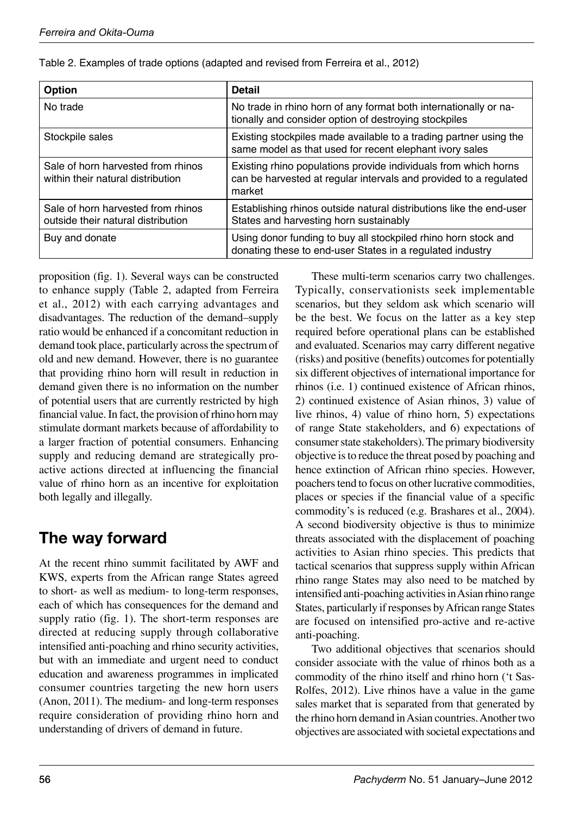| Option                                                                   | <b>Detail</b>                                                                                                                                  |
|--------------------------------------------------------------------------|------------------------------------------------------------------------------------------------------------------------------------------------|
| No trade                                                                 | No trade in rhino horn of any format both internationally or na-<br>tionally and consider option of destroying stockpiles                      |
| Stockpile sales                                                          | Existing stockpiles made available to a trading partner using the<br>same model as that used for recent elephant ivory sales                   |
| Sale of horn harvested from rhinos<br>within their natural distribution  | Existing rhino populations provide individuals from which horns<br>can be harvested at regular intervals and provided to a regulated<br>market |
| Sale of horn harvested from rhinos<br>outside their natural distribution | Establishing rhinos outside natural distributions like the end-user<br>States and harvesting horn sustainably                                  |
| Buy and donate                                                           | Using donor funding to buy all stockpiled rhino horn stock and<br>donating these to end-user States in a regulated industry                    |

| Table 2. Examples of trade options (adapted and revised from Ferreira et al., 2012) |  |  |  |  |  |
|-------------------------------------------------------------------------------------|--|--|--|--|--|
|                                                                                     |  |  |  |  |  |

proposition (fig. 1). Several ways can be constructed to enhance supply (Table 2, adapted from Ferreira et al., 2012) with each carrying advantages and disadvantages. The reduction of the demand-supply ratio would be enhanced if a concomitant reduction in demand took place, particularly across the spectrum of old and new demand. However, there is no guarantee that providing rhino horn will result in reduction in demand given there is no information on the number of potential users that are currently restricted by high financial value. In fact, the provision of rhino horn may stimulate dormant markets because of affordability to a larger fraction of potential consumers. Enhancing supply and reducing demand are strategically proactive actions directed at influencing the financial value of rhino horn as an incentive for exploitation both legally and illegally.

# **The way forward**

At the recent rhino summit facilitated by AWF and KWS, experts from the African range States agreed to short- as well as medium- to long-term responses, each of which has consequences for the demand and supply ratio (fig. 1). The short-term responses are directed at reducing supply through collaborative intensified anti-poaching and rhino security activities, but with an immediate and urgent need to conduct education and awareness programmes in implicated consumer countries targeting the new horn users (Anon, 2011). The medium- and long-term responses require consideration of providing rhino horn and understanding of drivers of demand in future.

These multi-term scenarios carry two challenges. Typically, conservationists seek implementable scenarios, but they seldom ask which scenario will be the best. We focus on the latter as a key step required before operational plans can be established and evaluated. Scenarios may carry different negative (risks) and positive (benefits) outcomes for potentially six different objectives of international importance for rhinos (i.e. 1) continued existence of African rhinos, 2) continued existence of Asian rhinos, 3) value of live rhinos, 4) value of rhino horn, 5) expectations of range State stakeholders, and 6) expectations of consumer state stakeholders). The primary biodiversity objective is to reduce the threat posed by poaching and hence extinction of African rhino species. However, poachers tend to focus on other lucrative commodities, places or species if the financial value of a specific commodity's is reduced (e.g. Brashares et al., 2004). A second biodiversity objective is thus to minimize threats associated with the displacement of poaching activities to Asian rhino species. This predicts that tactical scenarios that suppress supply within African rhino range States may also need to be matched by intensified anti-poaching activities in Asian rhino range States, particularly if responses by African range States are focused on intensified pro-active and re-active anti-poaching.

Two additional objectives that scenarios should consider associate with the value of rhinos both as a commodity of the rhino itself and rhino horn ('t Sas-Rolfes, 2012). Live rhinos have a value in the game sales market that is separated from that generated by the rhino horn demand in Asian countries. Another two objectives are associated with societal expectations and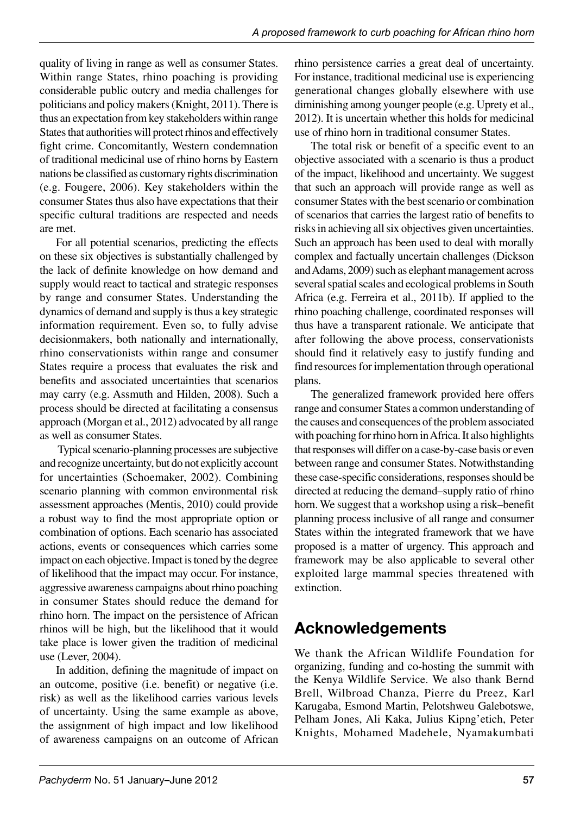quality of living in range as well as consumer States. Within range States, rhino poaching is providing considerable public outcry and media challenges for politicians and policy makers (Knight, 2011). There is thus an expectation from key stakeholders within range States that authorities will protect rhinos and effectively fight crime. Concomitantly, Western condemnation of traditional medicinal use of rhino horns by Eastern nations be classified as customary rights discrimination (e.g. Fougere, 2006). Key stakeholders within the consumer States thus also have expectations that their specific cultural traditions are respected and needs are met.

For all potential scenarios, predicting the effects on these six objectives is substantially challenged by the lack of definite knowledge on how demand and supply would react to tactical and strategic responses by range and consumer States. Understanding the dynamics of demand and supply is thus a key strategic information requirement. Even so, to fully advise decisionmakers, both nationally and internationally, rhino conservationists within range and consumer States require a process that evaluates the risk and benefits and associated uncertainties that scenarios may carry (e.g. Assmuth and Hilden, 2008). Such a process should be directed at facilitating a consensus approach (Morgan et al., 2012) advocated by all range as well as consumer States.

 Typical scenario-planning processes are subjective and recognize uncertainty, but do not explicitly account for uncertainties (Schoemaker, 2002). Combining scenario planning with common environmental risk assessment approaches (Mentis, 2010) could provide a robust way to find the most appropriate option or combination of options. Each scenario has associated actions, events or consequences which carries some impact on each objective. Impact is toned by the degree of likelihood that the impact may occur. For instance, aggressive awareness campaigns about rhino poaching in consumer States should reduce the demand for rhino horn. The impact on the persistence of African rhinos will be high, but the likelihood that it would take place is lower given the tradition of medicinal use (Lever, 2004).

In addition, defining the magnitude of impact on an outcome, positive (i.e. benefit) or negative (i.e. risk) as well as the likelihood carries various levels of uncertainty. Using the same example as above, the assignment of high impact and low likelihood of awareness campaigns on an outcome of African rhino persistence carries a great deal of uncertainty. For instance, traditional medicinal use is experiencing generational changes globally elsewhere with use diminishing among younger people (e.g. Uprety et al., 2012). It is uncertain whether this holds for medicinal use of rhino horn in traditional consumer States.

The total risk or benefit of a specific event to an objective associated with a scenario is thus a product of the impact, likelihood and uncertainty. We suggest that such an approach will provide range as well as consumer States with the best scenario or combination of scenarios that carries the largest ratio of benefits to risks in achieving all six objectives given uncertainties. Such an approach has been used to deal with morally complex and factually uncertain challenges (Dickson and Adams, 2009) such as elephant management across several spatial scales and ecological problems in South Africa (e.g. Ferreira et al., 2011b). If applied to the rhino poaching challenge, coordinated responses will thus have a transparent rationale. We anticipate that after following the above process, conservationists should find it relatively easy to justify funding and find resources for implementation through operational plans.

The generalized framework provided here offers range and consumer States a common understanding of the causes and consequences of the problem associated with poaching for rhino horn in Africa. It also highlights that responses will differ on a case-by-case basis or even between range and consumer States. Notwithstanding these case-specific considerations, responses should be directed at reducing the demand-supply ratio of rhino horn. We suggest that a workshop using a risk-benefit planning process inclusive of all range and consumer States within the integrated framework that we have proposed is a matter of urgency. This approach and framework may be also applicable to several other exploited large mammal species threatened with extinction.

# **Acknowledgements**

We thank the African Wildlife Foundation for organizing, funding and co-hosting the summit with the Kenya Wildlife Service. We also thank Bernd Brell, Wilbroad Chanza, Pierre du Preez, Karl Karugaba, Esmond Martin, Pelotshweu Galebotswe, Pelham Jones, Ali Kaka, Julius Kipng'etich, Peter Knights, Mohamed Madehele, Nyamakumbati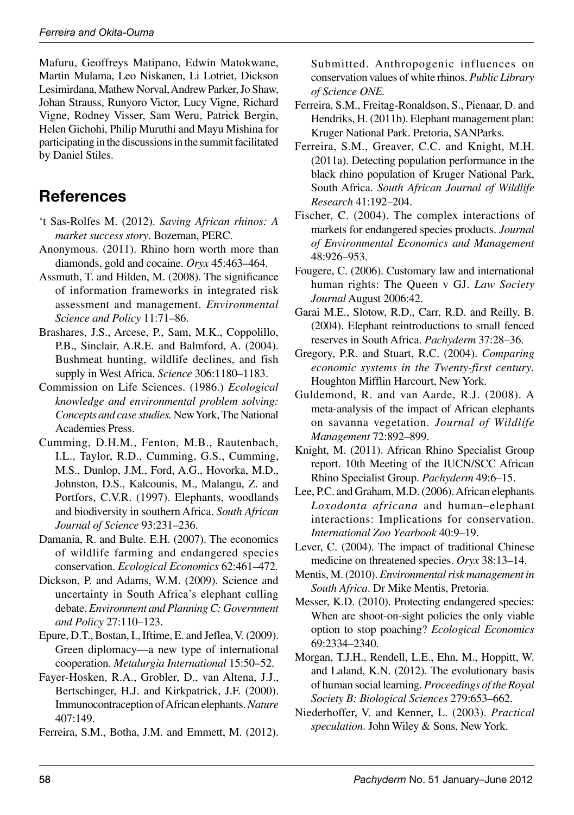Mafuru, Geoffreys Matipano, Edwin Matokwane, Martin Mulama, Leo Niskanen, Li Lotriet, Dickson Lesimirdana, Mathew Norval, Andrew Parker, Jo Shaw, Johan Strauss, Runyoro Victor, Lucy Vigne, Richard Vigne, Rodney Visser, Sam Weru, Patrick Bergin, Helen Gichohi, Philip Muruthi and Mayu Mishina for participating in the discussions in the summit facilitated by Daniel Stiles.

#### **References**

- 't Sas-Rolfes M. (2012). Saving African rhinos: A *market success story*. Bozeman, PERC.
- Anonymous. (2011). Rhino horn worth more than diamonds, gold and cocaine. *Oryx* 45:463-464.
- Assmuth, T. and Hilden, M. (2008). The significance of information frameworks in integrated risk assessment and management. *Environmental Science and Policy* 11:71-86.
- Brashares, J.S., Arcese, P., Sam, M.K., Coppolillo, P.B., Sinclair, A.R.E. and Balmford, A. (2004). Bushmeat hunting, wildlife declines, and fish supply in West Africa. *Science* 306:1180-1183.
- Commission on Life Sciences. (1986.) *Ecological knowledge and environmental problem solving: Concepts and case studies.* New York, The National Academies Press.
- Cumming, D.H.M., Fenton, M.B., Rautenbach, I.L., Taylor, R.D., Cumming, G.S., Cumming, M.S., Dunlop, J.M., Ford, A.G., Hovorka, M.D., Johnston, D.S., Kalcounis, M., Malangu, Z. and Portfors, C.V.R. (1997). Elephants, woodlands and biodiversity in southern Africa. *South African Journal of Science* 93:231-236.
- Damania, R. and Bulte. E.H. (2007). The economics of wildlife farming and endangered species conservation. *Ecological Economics* 62:461-472.
- Dickson, P. and Adams, W.M. (2009). Science and uncertainty in South Africa's elephant culling debate. *Environment and Planning C: Government*  and Policy 27:110-123.
- Epure, D.T., Bostan, I., Iftime, E. and Jeflea, V. (2009). Green diplomacy—a new type of international cooperation. *Metalurgia International* 15:50–52.
- Fayer-Hosken, R.A., Grobler, D., van Altena, J.J., Bertschinger, H.J. and Kirkpatrick, J.F. (2000). Immunocontraception of African elephants. *Nature* 407:149.
- Ferreira, S.M., Botha, J.M. and Emmett, M. (2012).

Submitted. Anthropogenic influences on conservation values of white rhinos. *Public Library of Science ONE.*

- Ferreira, S.M., Freitag-Ronaldson, S., Pienaar, D. and Hendriks, H. (2011b). Elephant management plan: Kruger National Park. Pretoria, SANParks.
- Ferreira, S.M., Greaver, C.C. and Knight, M.H. (2011a). Detecting population performance in the black rhino population of Kruger National Park, South Africa. *South African Journal of Wildlife Research*ă
- Fischer, C. (2004). The complex interactions of markets for endangered species products. *Journal of Environmental Economics and Management* 48:926-953.
- Fougere, C. (2006). Customary law and international human rights: The Queen v GJ. *Law Society Journal* August 2006:42.
- Garai M.E., Slotow, R.D., Carr, R.D. and Reilly, B. (2004). Elephant reintroductions to small fenced reserves in South Africa. *Pachyderm* 37:28-36.
- Gregory, P.R. and Stuart, R.C. (2004). *Comparing economic systems in the Twenty-first century.*  Houghton Mifflin Harcourt, New York.
- Guldemond, R. and van Aarde, R.J. (2008). A meta-analysis of the impact of African elephants on savanna vegetation. *Journal of Wildlife Management* 72:892-899.
- Knight, M. (2011). African Rhino Specialist Group report. 10th Meeting of the IUCN/SCC African Rhino Specialist Group. *Pachyderm*ă
- Lee, P.C. and Graham, M.D. (2006). African elephants *Loxodonta africana* and human-elephant interactions: Implications for conservation. *International Zoo Yearbook*ă
- Lever, C. (2004). The impact of traditional Chinese medicine on threatened species. *Oryx* 38:13–14.
- Mentis, M. (2010). *Environmental risk management in South Africa*. Dr Mike Mentis, Pretoria.
- Messer, K.D. (2010). Protecting endangered species: When are shoot-on-sight policies the only viable option to stop poaching? *Ecological Economics* 69:2334-2340.
- Morgan, T.J.H., Rendell, L.E., Ehn, M., Hoppitt, W. and Laland, K.N. (2012). The evolutionary basis of human social learning. *Proceedings of the Royal Society B: Biological Sciences* 279:653-662.
- Niederhoffer, V. and Kenner, L. (2003). *Practical speculation*. John Wiley & Sons, New York.